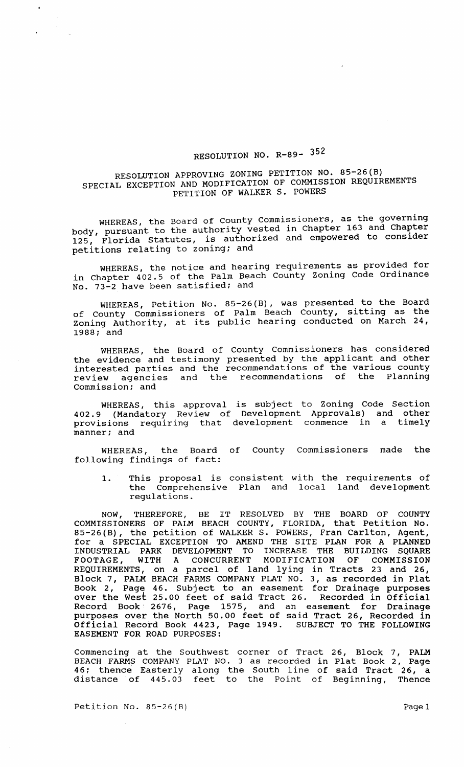## RESOLUTION NO. R-89- 352

## RESOLUTION APPROVING ZONING PETITION NO. 85-26(B) SPECIAL EXCEPTION AND MODIFICATION OF COMMISSION REQUIREMENTS PETITION OF WALKER S. POWERS

WHEREAS, the Board of County Commissioners, as the governing body, pursuant to the authority vested in Chapter 163 and Chapter 125, Florida Statutes, is authorized and empowered to consider petitions relating to zoning; and RESOLUTION NO. R-89- JOC NESSOLUTION NO. R-89- JOC NESSOLUTION APPROVING ZONING PETITION OF COMMISSION REQUIREMENTS<br>
PETITION OF WALKER S. POWERS<br>
WHEREAS, the Board of County Commissioners, as the governing<br>
body, pursuan

WHEREAS, the notice and hearing requirements as provided for No. 73-2 have been satisfied; and

WHEREAS, Petition No. 85-26(B), was presented to the Board of County Commissioners of Palm Beach County, sitting as the of County Commissioners of fuim beach county, freeing is the 1988; and

WHEREAS, the Board of County Commissioners has considered the evidence and testimony presented by the applicant and other interested parties and the recommendations of the various county review agencies and the recommendations of the Planning commission; and

WHEREAS, this approval is subject to Zoning Code Section 402.9 (Mandatory Review of Development Approvals) and other provisions requiring that development commence in a timely manner; and

WHEREAS, the Board of County Commissioners made the following findings of fact:

1. This proposal is consistent with the requirements of the Comprehensive Plan and local land development regulations.

NOW, THEREFORE, BE IT RESOLVED BY THE BOARD OF COUNTY COMMISSIONERS OF PALM BEACH COUNTY, FLORIDA, that Petition No. 85-26(B), the petition of WALKER S. POWERS, Fran Carlton, Agent, for a SPECIAL EXCEPTION TO AMEND THE SITE PLAN FOR A PLANNED INDUSTRIAL PARK DEVELOPMENT TO INCREASE THE BUILDING SQUARE FOOTAGE, WITH A CONCURRENT MODIFICATION OF COMMISSION REQUIREMENTS, on a parcel of land lying in Tracts 23 and 26, Block 7, PALM BEACH FARMS COMPANY PLAT NO. 3, as recorded in Plat Book 2, Page 46. Subject to an easement for Drainage purposes over the West 25.00 feet of said Tract 26. Recorded in Official Record Book 2676, Page 1575, and an easement for Drainage purposes over the North 50.00 feet of said Tract 26, Recorded in Official Record Book 4423, Page 1949. SUBJECT TO THE FOLLOWING EASEMENT FOR ROAD PURPOSES:

Commencing at the Southwest corner of Tract 26, Block 7, PALM BEACH FARMS COMPANY PLAT NO. 3 as recorded in Plat Book 2, Page 2211011 Theme Continue that here is a recorded in true Book B, raye distance of 445.03 feet to the Point of Beginning, Thence

Petition No. 85-26(B) Page 1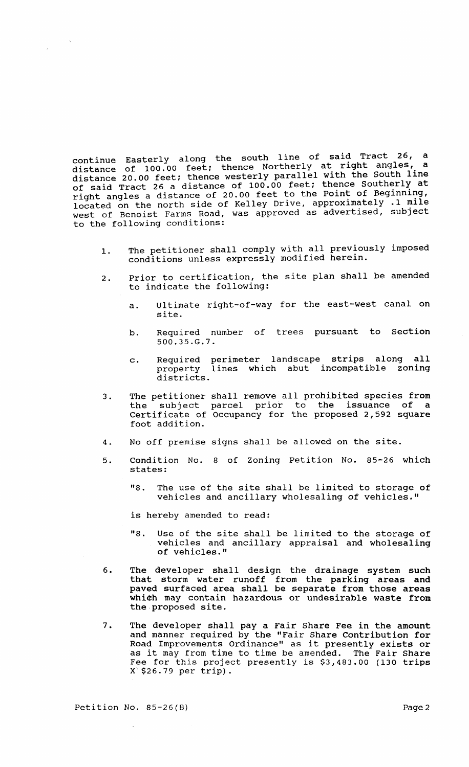continue Easterly along the south line of said Tract 26, a continue Easterly divid the source wortherly at right angles, a distance 20.00 feet; thence westerly parallel with the South line of said Tract 26 a distance of 100.00 feet; thence Southerly at of said fluce 20 d distance of 20.00 feet to the Point of Beginning, located on the north side of Kelley Dr1ve, approx1mately .1 m1le west of Benoist Farms Road, was approved as advertised, subject to the following conditions:

- 1. The petitioner shall comply with all previously imposed conditions unless expressly modified herein.
- 2. Prior to certification, the site plan shall be amended to indicate the following:
	- a. Ultimate right-of-way for the east-west canal on site.
	- b. Required number of trees pursuant to section 500.35.G.7.
	- c. Required perimeter landscape strips along all lines which abut incompatible zoning districts.
- 3. The petitioner shall remove all prohibited species from the subject Certificate of foot addition. parcel prior to the issuance of a Occupancy for the proposed 2,592 square
- 4. No off premise signs shall be allowed on the site.
- 5. Condition No. 8 of Zoning Petition No. 85-26 which states:
	- "8. The use of the site shall be limited to storage of vehicles and ancillary wholesaling of vehicles."

is hereby amended to read:

- "8. Use of the site shall be limited to the storage of vehicles and ancillary appraisal and wholesaling of vehicles."
- 6. The developer shall design the drainage system such that storm water runoff from the parking areas and paved surfaced area shall be separate from those areas which may contain hazardous or undesirable waste from the proposed site.
- 7. The developer shall pay a Fair Share Fee in the amount and manner required by the "Fair Share contribution for Road Improvements Ordinance" as it presently exists or as it may from time to time be amended. The Fair Share Fee for this project presently is \$3,483.00 (130 trips X'\$26.79 per trip).